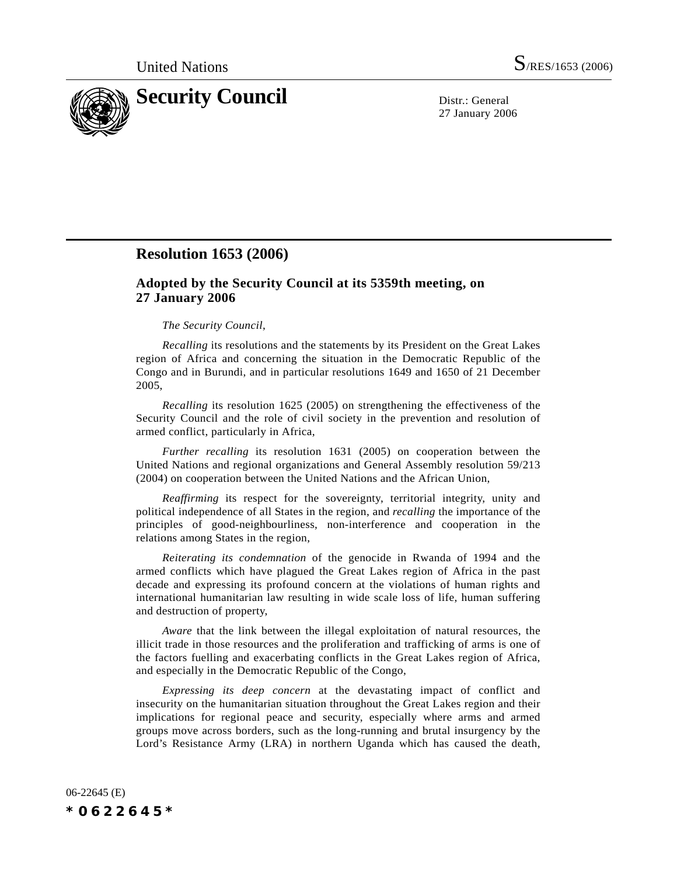

27 January 2006

## **Resolution 1653 (2006)**

## **Adopted by the Security Council at its 5359th meeting, on 27 January 2006**

## *The Security Council*,

*Recalling* its resolutions and the statements by its President on the Great Lakes region of Africa and concerning the situation in the Democratic Republic of the Congo and in Burundi, and in particular resolutions 1649 and 1650 of 21 December 2005,

*Recalling* its resolution 1625 (2005) on strengthening the effectiveness of the Security Council and the role of civil society in the prevention and resolution of armed conflict, particularly in Africa,

*Further recalling* its resolution 1631 (2005) on cooperation between the United Nations and regional organizations and General Assembly resolution 59/213 (2004) on cooperation between the United Nations and the African Union,

*Reaffirming* its respect for the sovereignty, territorial integrity, unity and political independence of all States in the region, and *recalling* the importance of the principles of good-neighbourliness, non-interference and cooperation in the relations among States in the region,

*Reiterating its condemnation* of the genocide in Rwanda of 1994 and the armed conflicts which have plagued the Great Lakes region of Africa in the past decade and expressing its profound concern at the violations of human rights and international humanitarian law resulting in wide scale loss of life, human suffering and destruction of property,

*Aware* that the link between the illegal exploitation of natural resources, the illicit trade in those resources and the proliferation and trafficking of arms is one of the factors fuelling and exacerbating conflicts in the Great Lakes region of Africa, and especially in the Democratic Republic of the Congo,

*Expressing its deep concern* at the devastating impact of conflict and insecurity on the humanitarian situation throughout the Great Lakes region and their implications for regional peace and security, especially where arms and armed groups move across borders, such as the long-running and brutal insurgency by the Lord's Resistance Army (LRA) in northern Uganda which has caused the death,

06-22645 (E) *\*0622645\**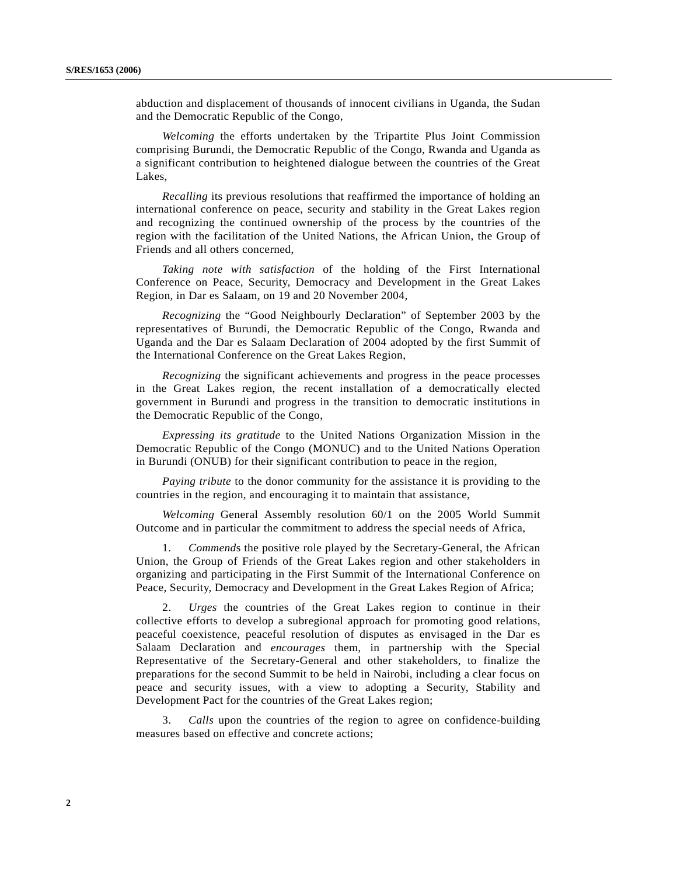abduction and displacement of thousands of innocent civilians in Uganda, the Sudan and the Democratic Republic of the Congo,

*Welcoming* the efforts undertaken by the Tripartite Plus Joint Commission comprising Burundi, the Democratic Republic of the Congo, Rwanda and Uganda as a significant contribution to heightened dialogue between the countries of the Great Lakes,

*Recalling* its previous resolutions that reaffirmed the importance of holding an international conference on peace, security and stability in the Great Lakes region and recognizing the continued ownership of the process by the countries of the region with the facilitation of the United Nations, the African Union, the Group of Friends and all others concerned,

*Taking note with satisfaction* of the holding of the First International Conference on Peace, Security, Democracy and Development in the Great Lakes Region, in Dar es Salaam, on 19 and 20 November 2004,

*Recognizing* the "Good Neighbourly Declaration" of September 2003 by the representatives of Burundi, the Democratic Republic of the Congo, Rwanda and Uganda and the Dar es Salaam Declaration of 2004 adopted by the first Summit of the International Conference on the Great Lakes Region,

*Recognizing* the significant achievements and progress in the peace processes in the Great Lakes region, the recent installation of a democratically elected government in Burundi and progress in the transition to democratic institutions in the Democratic Republic of the Congo,

*Expressing its gratitude* to the United Nations Organization Mission in the Democratic Republic of the Congo (MONUC) and to the United Nations Operation in Burundi (ONUB) for their significant contribution to peace in the region,

*Paying tribute* to the donor community for the assistance it is providing to the countries in the region, and encouraging it to maintain that assistance,

*Welcoming* General Assembly resolution 60/1 on the 2005 World Summit Outcome and in particular the commitment to address the special needs of Africa,

1. *Commend*s the positive role played by the Secretary-General, the African Union, the Group of Friends of the Great Lakes region and other stakeholders in organizing and participating in the First Summit of the International Conference on Peace, Security, Democracy and Development in the Great Lakes Region of Africa;

2. *Urges* the countries of the Great Lakes region to continue in their collective efforts to develop a subregional approach for promoting good relations, peaceful coexistence, peaceful resolution of disputes as envisaged in the Dar es Salaam Declaration and *encourages* them, in partnership with the Special Representative of the Secretary-General and other stakeholders, to finalize the preparations for the second Summit to be held in Nairobi, including a clear focus on peace and security issues, with a view to adopting a Security, Stability and Development Pact for the countries of the Great Lakes region;

3. *Calls* upon the countries of the region to agree on confidence-building measures based on effective and concrete actions;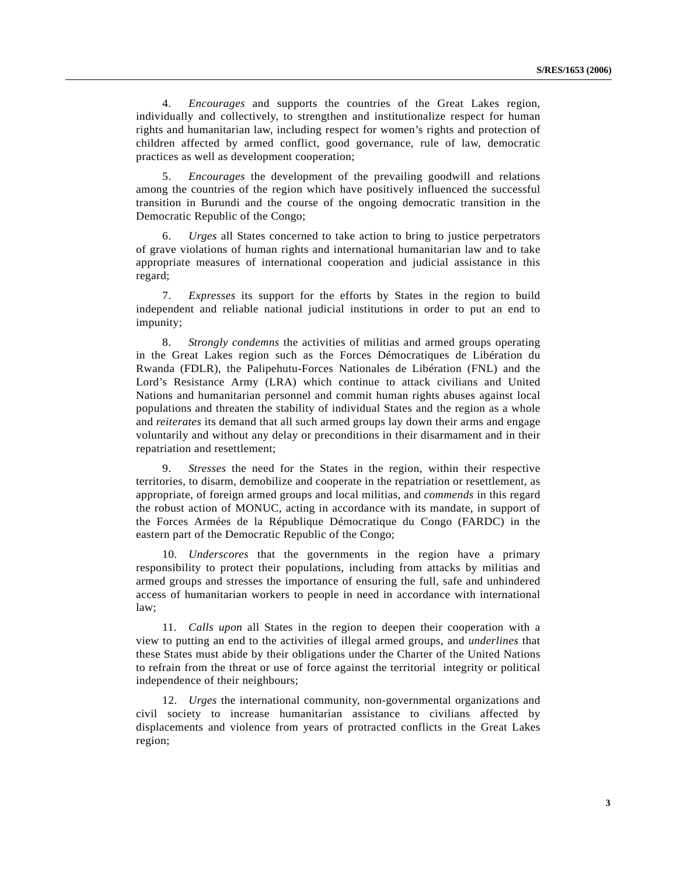4. *Encourages* and supports the countries of the Great Lakes region, individually and collectively, to strengthen and institutionalize respect for human rights and humanitarian law, including respect for women's rights and protection of children affected by armed conflict, good governance, rule of law, democratic practices as well as development cooperation;

5. *Encourages* the development of the prevailing goodwill and relations among the countries of the region which have positively influenced the successful transition in Burundi and the course of the ongoing democratic transition in the Democratic Republic of the Congo;

6. *Urges* all States concerned to take action to bring to justice perpetrators of grave violations of human rights and international humanitarian law and to take appropriate measures of international cooperation and judicial assistance in this regard;

7. *Expresses* its support for the efforts by States in the region to build independent and reliable national judicial institutions in order to put an end to impunity;

8. *Strongly condemns* the activities of militias and armed groups operating in the Great Lakes region such as the Forces Démocratiques de Libération du Rwanda (FDLR), the Palipehutu-Forces Nationales de Libération (FNL) and the Lord's Resistance Army (LRA) which continue to attack civilians and United Nations and humanitarian personnel and commit human rights abuses against local populations and threaten the stability of individual States and the region as a whole and *reiterates* its demand that all such armed groups lay down their arms and engage voluntarily and without any delay or preconditions in their disarmament and in their repatriation and resettlement;

9. *Stresses* the need for the States in the region, within their respective territories, to disarm, demobilize and cooperate in the repatriation or resettlement, as appropriate, of foreign armed groups and local militias, and *commends* in this regard the robust action of MONUC, acting in accordance with its mandate, in support of the Forces Armées de la République Démocratique du Congo (FARDC) in the eastern part of the Democratic Republic of the Congo;

10. *Underscores* that the governments in the region have a primary responsibility to protect their populations, including from attacks by militias and armed groups and stresses the importance of ensuring the full, safe and unhindered access of humanitarian workers to people in need in accordance with international law;

11. *Calls upon* all States in the region to deepen their cooperation with a view to putting an end to the activities of illegal armed groups, and *underlines* that these States must abide by their obligations under the Charter of the United Nations to refrain from the threat or use of force against the territorial integrity or political independence of their neighbours;

12. *Urges* the international community, non-governmental organizations and civil society to increase humanitarian assistance to civilians affected by displacements and violence from years of protracted conflicts in the Great Lakes region;